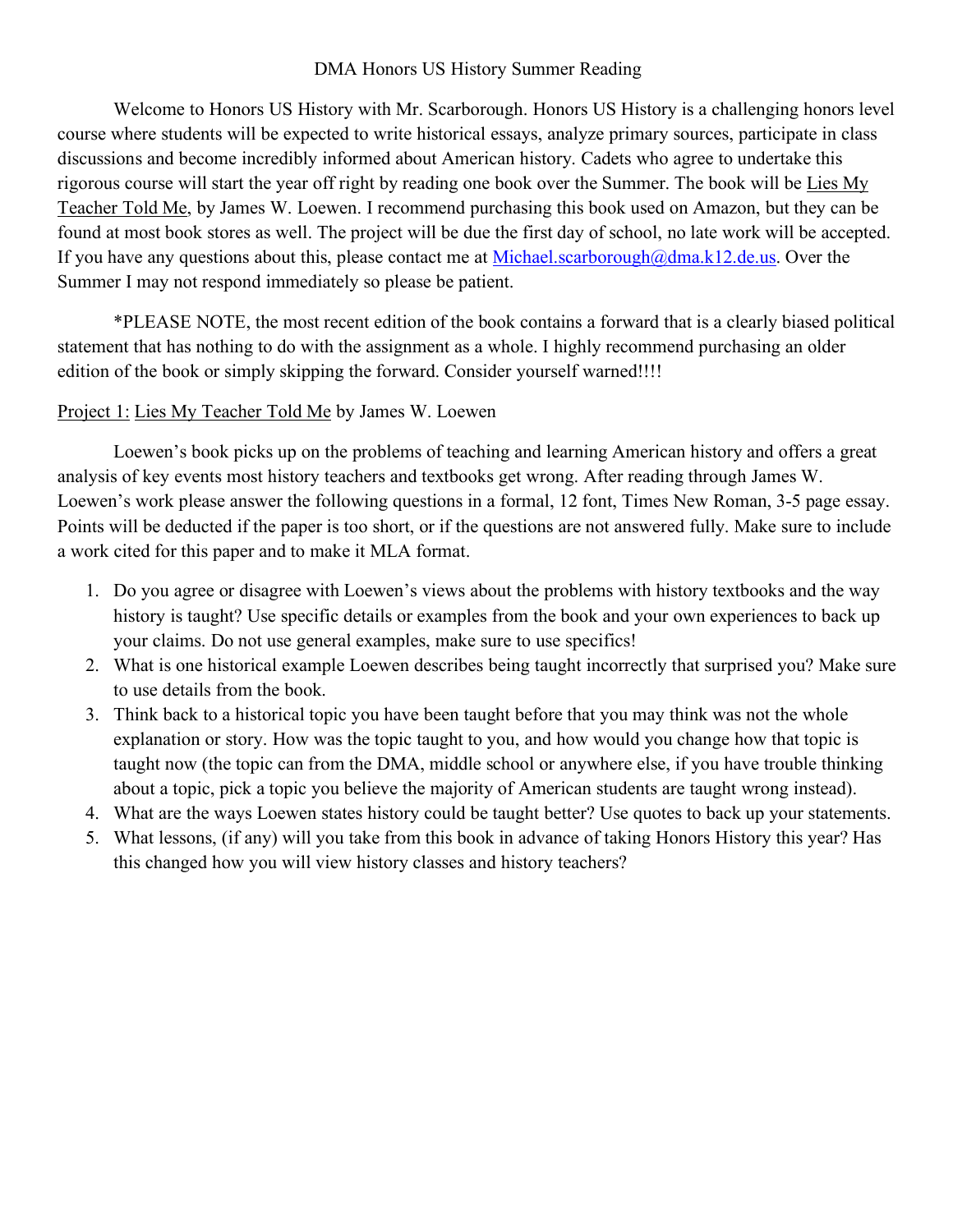## DMA Honors US History Summer Reading

Welcome to Honors US History with Mr. Scarborough. Honors US History is a challenging honors level course where students will be expected to write historical essays, analyze primary sources, participate in class discussions and become incredibly informed about American history. Cadets who agree to undertake this rigorous course will start the year off right by reading one book over the Summer. The book will be Lies My Teacher Told Me, by James W. Loewen. I recommend purchasing this book used on Amazon, but they can be found at most book stores as well. The project will be due the first day of school, no late work will be accepted. If you have any questions about this, please contact me at Michael.scarborough@dma.k12.de.us. Over the Summer I may not respond immediately so please be patient.

\*PLEASE NOTE, the most recent edition of the book contains a forward that is a clearly biased political statement that has nothing to do with the assignment as a whole. I highly recommend purchasing an older edition of the book or simply skipping the forward. Consider yourself warned!!!!

## Project 1: Lies My Teacher Told Me by James W. Loewen

Loewen's book picks up on the problems of teaching and learning American history and offers a great analysis of key events most history teachers and textbooks get wrong. After reading through James W. Loewen's work please answer the following questions in a formal, 12 font, Times New Roman, 3-5 page essay. Points will be deducted if the paper is too short, or if the questions are not answered fully. Make sure to include a work cited for this paper and to make it MLA format.

- 1. Do you agree or disagree with Loewen's views about the problems with history textbooks and the way history is taught? Use specific details or examples from the book and your own experiences to back up your claims. Do not use general examples, make sure to use specifics!
- 2. What is one historical example Loewen describes being taught incorrectly that surprised you? Make sure to use details from the book.
- 3. Think back to a historical topic you have been taught before that you may think was not the whole explanation or story. How was the topic taught to you, and how would you change how that topic is taught now (the topic can from the DMA, middle school or anywhere else, if you have trouble thinking about a topic, pick a topic you believe the majority of American students are taught wrong instead).
- 4. What are the ways Loewen states history could be taught better? Use quotes to back up your statements.
- 5. What lessons, (if any) will you take from this book in advance of taking Honors History this year? Has this changed how you will view history classes and history teachers?